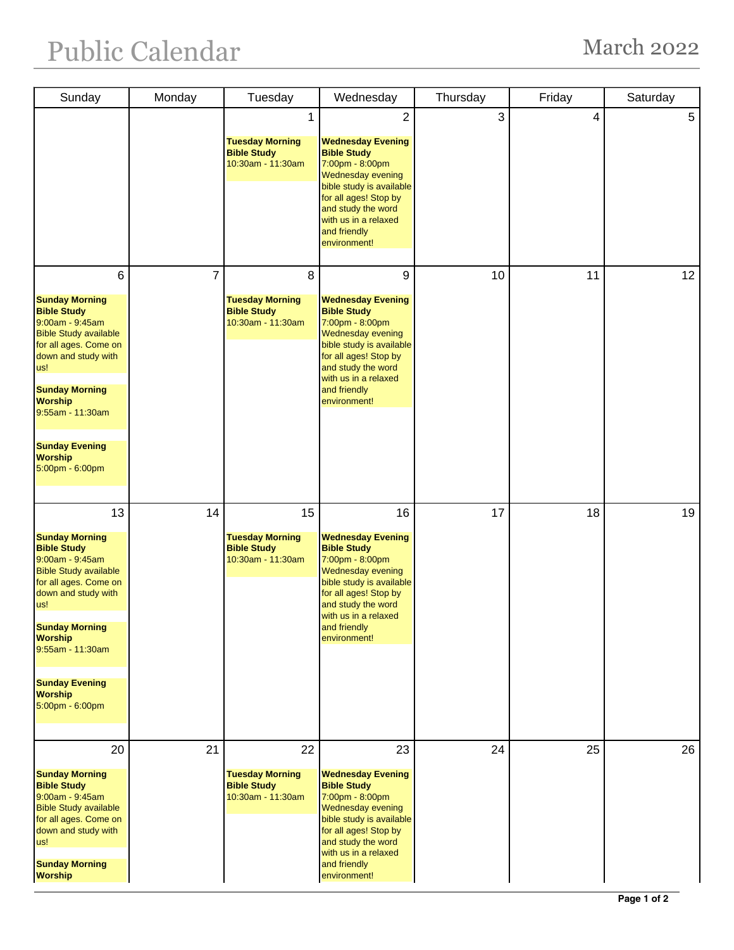## Public Calendar March 2022

| Sunday                                                                                                                                                                                                                                                                                   | Monday         | Tuesday                                                                 | Wednesday                                                                                                                                                                                                                             | Thursday | Friday | Saturday   |
|------------------------------------------------------------------------------------------------------------------------------------------------------------------------------------------------------------------------------------------------------------------------------------------|----------------|-------------------------------------------------------------------------|---------------------------------------------------------------------------------------------------------------------------------------------------------------------------------------------------------------------------------------|----------|--------|------------|
|                                                                                                                                                                                                                                                                                          |                | 1<br><b>Tuesday Morning</b><br><b>Bible Study</b><br>10:30am - 11:30am  | 2<br><b>Wednesday Evening</b><br><b>Bible Study</b><br>7:00pm - 8:00pm<br>Wednesday evening<br>bible study is available<br>for all ages! Stop by<br>and study the word<br>with us in a relaxed<br>and friendly<br>environment!        | 3        | 4      | $\sqrt{5}$ |
| 6<br><b>Sunday Morning</b><br><b>Bible Study</b><br>9:00am - 9:45am<br><b>Bible Study available</b><br>for all ages. Come on<br>down and study with<br>us!<br><b>Sunday Morning</b><br><b>Worship</b><br>9:55am - 11:30am<br><b>Sunday Evening</b><br><b>Worship</b><br>5:00pm - 6:00pm  | $\overline{7}$ | 8<br><b>Tuesday Morning</b><br><b>Bible Study</b><br>10:30am - 11:30am  | 9<br><b>Wednesday Evening</b><br><b>Bible Study</b><br>7:00pm - 8:00pm<br><b>Wednesday evening</b><br>bible study is available<br>for all ages! Stop by<br>and study the word<br>with us in a relaxed<br>and friendly<br>environment! | 10       | 11     | 12         |
| 13<br><b>Sunday Morning</b><br><b>Bible Study</b><br>9:00am - 9:45am<br><b>Bible Study available</b><br>for all ages. Come on<br>down and study with<br>us!<br><b>Sunday Morning</b><br><b>Worship</b><br>9:55am - 11:30am<br><b>Sunday Evening</b><br><b>Worship</b><br>5:00pm - 6:00pm | 14             | 15<br><b>Tuesday Morning</b><br><b>Bible Study</b><br>10:30am - 11:30am | 16<br><b>Wednesday Evening</b><br><b>Bible Study</b><br>7:00pm - 8:00pm<br>Wednesday evening<br>bible study is available<br>for all ages! Stop by<br>and study the word<br>with us in a relaxed<br>and friendly<br>environment!       | 17       | 18     | 19         |
| 20<br><b>Sunday Morning</b><br><b>Bible Study</b><br>9:00am - 9:45am<br><b>Bible Study available</b><br>for all ages. Come on<br>down and study with<br>us!<br><b>Sunday Morning</b><br><b>Worship</b>                                                                                   | 21             | 22<br><b>Tuesday Morning</b><br><b>Bible Study</b><br>10:30am - 11:30am | 23<br><b>Wednesday Evening</b><br><b>Bible Study</b><br>7:00pm - 8:00pm<br>Wednesday evening<br>bible study is available<br>for all ages! Stop by<br>and study the word<br>with us in a relaxed<br>and friendly<br>environment!       | 24       | 25     | 26         |